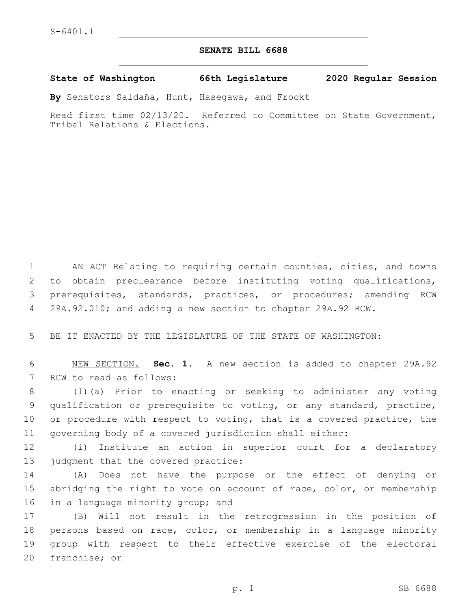## **SENATE BILL 6688**

**State of Washington 66th Legislature 2020 Regular Session**

**By** Senators Saldaña, Hunt, Hasegawa, and Frockt

Read first time 02/13/20. Referred to Committee on State Government, Tribal Relations & Elections.

 AN ACT Relating to requiring certain counties, cities, and towns to obtain preclearance before instituting voting qualifications, prerequisites, standards, practices, or procedures; amending RCW 29A.92.010; and adding a new section to chapter 29A.92 RCW.

5 BE IT ENACTED BY THE LEGISLATURE OF THE STATE OF WASHINGTON:

6 NEW SECTION. **Sec. 1.** A new section is added to chapter 29A.92 7 RCW to read as follows:

 (1)(a) Prior to enacting or seeking to administer any voting qualification or prerequisite to voting, or any standard, practice, or procedure with respect to voting, that is a covered practice, the governing body of a covered jurisdiction shall either:

12 (i) Institute an action in superior court for a declaratory 13 judgment that the covered practice:

14 (A) Does not have the purpose or the effect of denying or 15 abridging the right to vote on account of race, color, or membership 16 in a language minority group; and

 (B) Will not result in the retrogression in the position of persons based on race, color, or membership in a language minority group with respect to their effective exercise of the electoral 20 franchise; or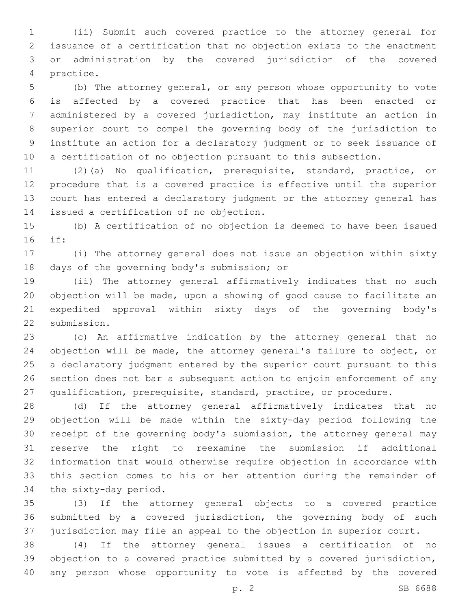(ii) Submit such covered practice to the attorney general for issuance of a certification that no objection exists to the enactment or administration by the covered jurisdiction of the covered 4 practice.

 (b) The attorney general, or any person whose opportunity to vote is affected by a covered practice that has been enacted or administered by a covered jurisdiction, may institute an action in superior court to compel the governing body of the jurisdiction to institute an action for a declaratory judgment or to seek issuance of a certification of no objection pursuant to this subsection.

 (2)(a) No qualification, prerequisite, standard, practice, or procedure that is a covered practice is effective until the superior court has entered a declaratory judgment or the attorney general has 14 issued a certification of no objection.

 (b) A certification of no objection is deemed to have been issued if:16

 (i) The attorney general does not issue an objection within sixty 18 days of the governing body's submission; or

 (ii) The attorney general affirmatively indicates that no such objection will be made, upon a showing of good cause to facilitate an expedited approval within sixty days of the governing body's 22 submission.

 (c) An affirmative indication by the attorney general that no objection will be made, the attorney general's failure to object, or a declaratory judgment entered by the superior court pursuant to this section does not bar a subsequent action to enjoin enforcement of any qualification, prerequisite, standard, practice, or procedure.

 (d) If the attorney general affirmatively indicates that no objection will be made within the sixty-day period following the receipt of the governing body's submission, the attorney general may reserve the right to reexamine the submission if additional information that would otherwise require objection in accordance with this section comes to his or her attention during the remainder of 34 the sixty-day period.

 (3) If the attorney general objects to a covered practice submitted by a covered jurisdiction, the governing body of such jurisdiction may file an appeal to the objection in superior court.

 (4) If the attorney general issues a certification of no objection to a covered practice submitted by a covered jurisdiction, any person whose opportunity to vote is affected by the covered

p. 2 SB 6688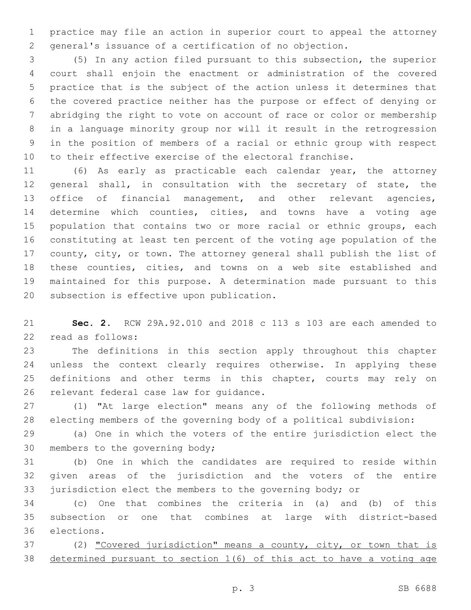practice may file an action in superior court to appeal the attorney general's issuance of a certification of no objection.

 (5) In any action filed pursuant to this subsection, the superior court shall enjoin the enactment or administration of the covered practice that is the subject of the action unless it determines that the covered practice neither has the purpose or effect of denying or abridging the right to vote on account of race or color or membership in a language minority group nor will it result in the retrogression in the position of members of a racial or ethnic group with respect to their effective exercise of the electoral franchise.

 (6) As early as practicable each calendar year, the attorney general shall, in consultation with the secretary of state, the office of financial management, and other relevant agencies, determine which counties, cities, and towns have a voting age 15 population that contains two or more racial or ethnic groups, each constituting at least ten percent of the voting age population of the county, city, or town. The attorney general shall publish the list of these counties, cities, and towns on a web site established and maintained for this purpose. A determination made pursuant to this 20 subsection is effective upon publication.

 **Sec. 2.** RCW 29A.92.010 and 2018 c 113 s 103 are each amended to 22 read as follows:

 The definitions in this section apply throughout this chapter unless the context clearly requires otherwise. In applying these definitions and other terms in this chapter, courts may rely on 26 relevant federal case law for guidance.

 (1) "At large election" means any of the following methods of electing members of the governing body of a political subdivision:

 (a) One in which the voters of the entire jurisdiction elect the 30 members to the governing body;

 (b) One in which the candidates are required to reside within given areas of the jurisdiction and the voters of the entire jurisdiction elect the members to the governing body; or

 (c) One that combines the criteria in (a) and (b) of this subsection or one that combines at large with district-based 36 elections.

 (2) "Covered jurisdiction" means a county, city, or town that is determined pursuant to section 1(6) of this act to have a voting age

p. 3 SB 6688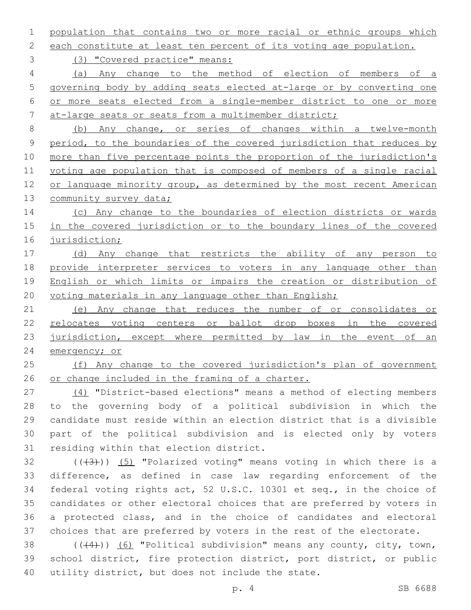population that contains two or more racial or ethnic groups which

each constitute at least ten percent of its voting age population.

(3) "Covered practice" means:

 (a) Any change to the method of election of members of a governing body by adding seats elected at-large or by converting one or more seats elected from a single-member district to one or more at-large seats or seats from a multimember district;

 (b) Any change, or series of changes within a twelve-month period, to the boundaries of the covered jurisdiction that reduces by 10 more than five percentage points the proportion of the jurisdiction's voting age population that is composed of members of a single racial or language minority group, as determined by the most recent American 13 community survey data;

14 (c) Any change to the boundaries of election districts or wards in the covered jurisdiction or to the boundary lines of the covered jurisdiction;

17 (d) Any change that restricts the ability of any person to provide interpreter services to voters in any language other than English or which limits or impairs the creation or distribution of 20 voting materials in any language other than English;

 (e) Any change that reduces the number of or consolidates or relocates voting centers or ballot drop boxes in the covered 23 jurisdiction, except where permitted by law in the event of an emergency; or

25 (f) Any change to the covered jurisdiction's plan of government or change included in the framing of a charter.

 (4) "District-based elections" means a method of electing members to the governing body of a political subdivision in which the candidate must reside within an election district that is a divisible part of the political subdivision and is elected only by voters 31 residing within that election district.

 $((+3))$   $(5)$  "Polarized voting" means voting in which there is a difference, as defined in case law regarding enforcement of the federal voting rights act, 52 U.S.C. 10301 et seq., in the choice of candidates or other electoral choices that are preferred by voters in a protected class, and in the choice of candidates and electoral choices that are preferred by voters in the rest of the electorate.

38  $((44))$  (6) "Political subdivision" means any county, city, town, school district, fire protection district, port district, or public 40 utility district, but does not include the state.